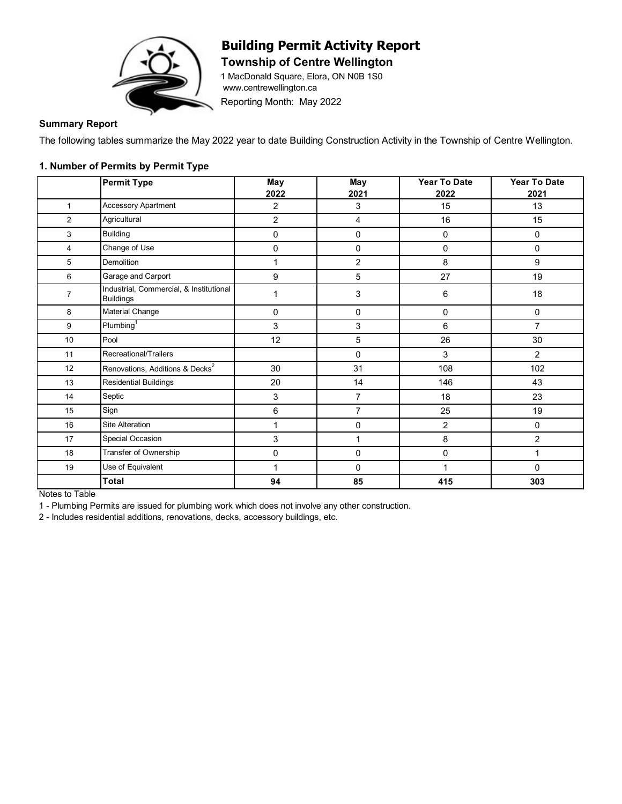

# **Building Permit Activity Report**

**Township of Centre Wellington** 

1 MacDonald Square, Elora, ON N0B 1S0 www.centrewellington.ca

Reporting Month: May 2022

### **Summary Report**

The following tables summarize the May 2022 year to date Building Construction Activity in the Township of Centre Wellington.

#### **1. Number of Permits by Permit Type**

|                | <b>Permit Type</b>                                          | <b>May</b>     | <b>May</b>     | Year To Date | <b>Year To Date</b> |
|----------------|-------------------------------------------------------------|----------------|----------------|--------------|---------------------|
|                |                                                             | 2022           | 2021           | 2022         | 2021                |
| $\mathbf{1}$   | <b>Accessory Apartment</b>                                  | $\overline{2}$ | 3              | 15           | 13                  |
| $\overline{2}$ | Agricultural                                                | 2              | 4              | 16           | 15                  |
| 3              | <b>Building</b>                                             | 0              | $\pmb{0}$      | $\pmb{0}$    | 0                   |
| 4              | Change of Use                                               | $\pmb{0}$      | $\pmb{0}$      | 0            | 0                   |
| 5              | <b>Demolition</b>                                           | 1              | 2              | 8            | 9                   |
| 6              | Garage and Carport                                          | 9              | 5              | 27           | 19                  |
| $\overline{7}$ | Industrial, Commercial, & Institutional<br><b>Buildings</b> | 1              | 3              | 6            | 18                  |
| 8              | <b>Material Change</b>                                      | 0              | 0              | 0            | 0                   |
| 9              | Plumbing <sup>1</sup>                                       | 3              | 3              | 6            | $\overline{7}$      |
| 10             | Pool                                                        | 12             | 5              | 26           | 30                  |
| 11             | Recreational/Trailers                                       |                | 0              | 3            | $\overline{2}$      |
| 12             | Renovations, Additions & Decks <sup>2</sup>                 | 30             | 31             | 108          | 102                 |
| 13             | <b>Residential Buildings</b>                                | 20             | 14             | 146          | 43                  |
| 14             | Septic                                                      | 3              | $\overline{7}$ | 18           | 23                  |
| 15             | Sign                                                        | 6              | $\overline{7}$ | 25           | 19                  |
| 16             | Site Alteration                                             | 1              | 0              | 2            | 0                   |
| 17             | Special Occasion                                            | 3              | 1              | 8            | $\overline{2}$      |
| 18             | Transfer of Ownership                                       | 0              | 0              | $\mathbf 0$  | 1                   |
| 19             | Use of Equivalent                                           | 1              | 0              |              | 0                   |
|                | Total                                                       | 94             | 85             | 415          | 303                 |

Notes to Table

1 - Plumbing Permits are issued for plumbing work which does not involve any other construction.

2 - Includes residential additions, renovations, decks, accessory buildings, etc.